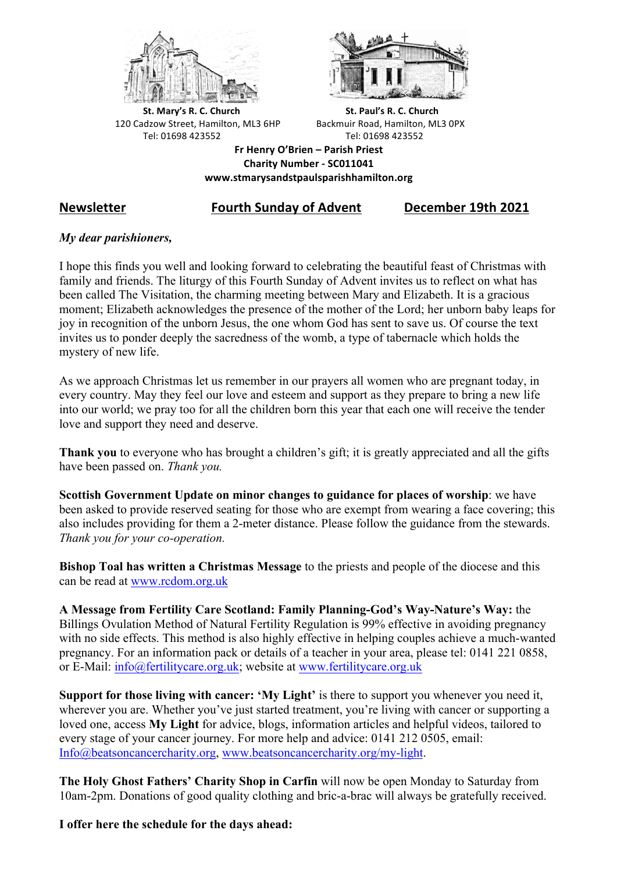



**St.** Mary's R. C. Church St. Paul's R. C. Church 120 Cadzow Street, Hamilton, ML3 6HP Backmuir Road, Hamilton, ML3 0PX Tel: 01698 423552 Tel: 01698 423552

**Fr Henry O'Brien – Parish Priest Charity Number - SC011041 www.stmarysandstpaulsparishhamilton.org**

# **Newsletter Fourth Sunday of Advent December 19th 2021**

## *My dear parishioners,*

I hope this finds you well and looking forward to celebrating the beautiful feast of Christmas with family and friends. The liturgy of this Fourth Sunday of Advent invites us to reflect on what has been called The Visitation, the charming meeting between Mary and Elizabeth. It is a gracious moment; Elizabeth acknowledges the presence of the mother of the Lord; her unborn baby leaps for joy in recognition of the unborn Jesus, the one whom God has sent to save us. Of course the text invites us to ponder deeply the sacredness of the womb, a type of tabernacle which holds the mystery of new life.

As we approach Christmas let us remember in our prayers all women who are pregnant today, in every country. May they feel our love and esteem and support as they prepare to bring a new life into our world; we pray too for all the children born this year that each one will receive the tender love and support they need and deserve.

**Thank you** to everyone who has brought a children's gift; it is greatly appreciated and all the gifts have been passed on. *Thank you.*

**Scottish Government Update on minor changes to guidance for places of worship**: we have been asked to provide reserved seating for those who are exempt from wearing a face covering; this also includes providing for them a 2-meter distance. Please follow the guidance from the stewards. *Thank you for your co-operation.*

**Bishop Toal has written a Christmas Message** to the priests and people of the diocese and this can be read at www.rcdom.org.uk

**A Message from Fertility Care Scotland: Family Planning-God's Way-Nature's Way:** the Billings Ovulation Method of Natural Fertility Regulation is 99% effective in avoiding pregnancy with no side effects. This method is also highly effective in helping couples achieve a much-wanted pregnancy. For an information pack or details of a teacher in your area, please tel: 0141 221 0858, or E-Mail: info@fertilitycare.org.uk; website at www.fertilitycare.org.uk

**Support for those living with cancer: 'My Light'** is there to support you whenever you need it, wherever you are. Whether you've just started treatment, you're living with cancer or supporting a loved one, access **My Light** for advice, blogs, information articles and helpful videos, tailored to every stage of your cancer journey. For more help and advice: 0141 212 0505, email: Info@beatsoncancercharity.org, www.beatsoncancercharity.org/my-light.

**The Holy Ghost Fathers' Charity Shop in Carfin** will now be open Monday to Saturday from 10am-2pm. Donations of good quality clothing and bric-a-brac will always be gratefully received.

**I offer here the schedule for the days ahead:**